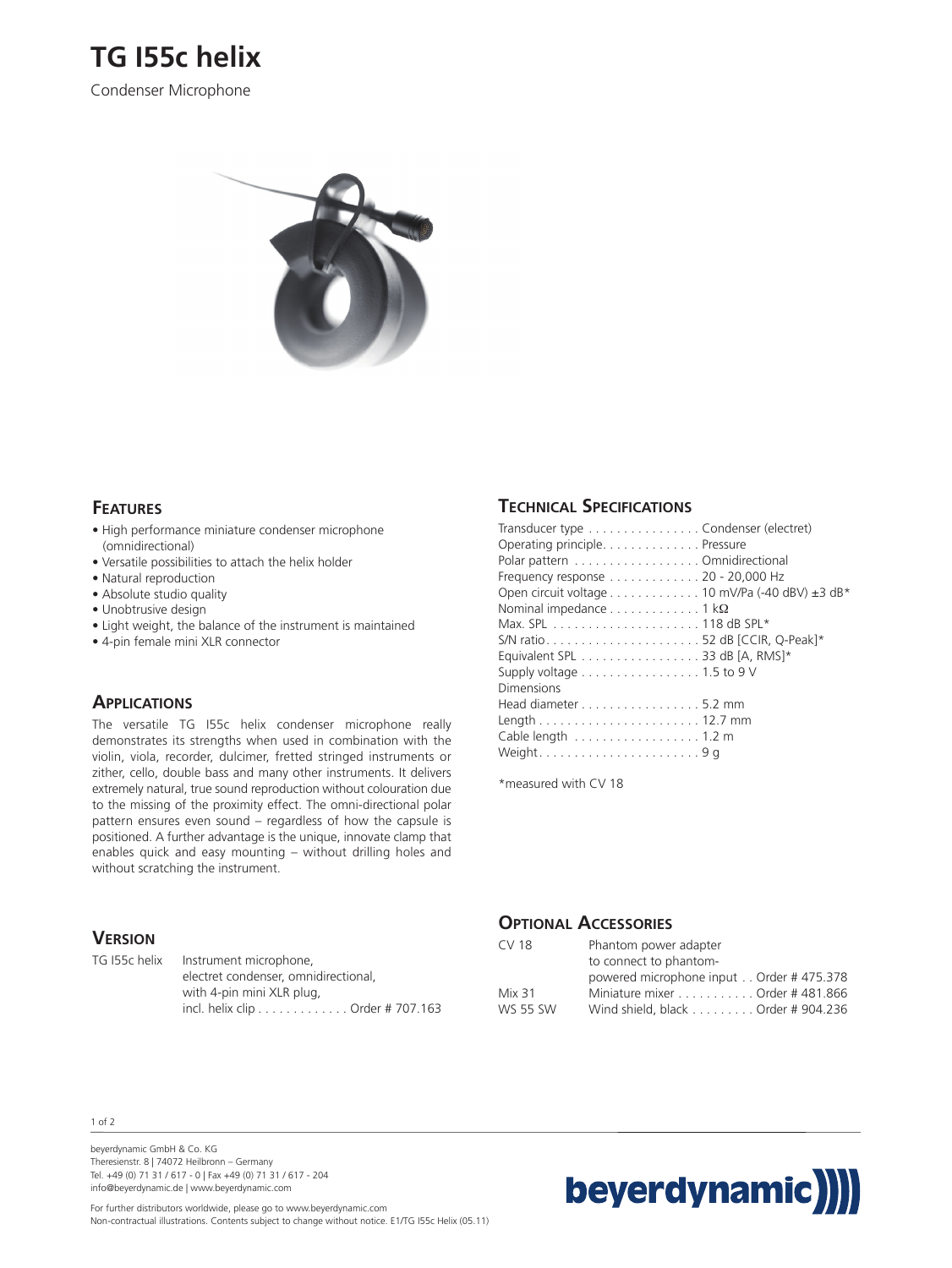

Condenser Microphone



#### **FEATURES**

- High performance miniature condenser microphone (omnidirectional)
- Versatile possibilities to attach the helix holder
- Natural reproduction
- Absolute studio quality
- Unobtrusive design
- Light weight, the balance of the instrument is maintained
- 4-pin female mini XLR connector

### **APPLICATIONS**

The versatile TG I55c helix condenser microphone really demonstrates its strengths when used in combination with the violin, viola, recorder, dulcimer, fretted stringed instruments or zither, cello, double bass and many other instruments. It delivers extremely natural, true sound reproduction without colouration due to the missing of the proximity effect. The omni-directional polar pattern ensures even sound – regardless of how the capsule is positioned. A further advantage is the unique, innovate clamp that enables quick and easy mounting – without drilling holes and without scratching the instrument.

### **VERSION**

TG I55c helix Instrument microphone, electret condenser, omnidirectional, with 4-pin mini XLR plug, incl. helix clip . . . . . . . . . . . . . Order # 707.163

## **TECHNICAL SPECIFICATIONS**

| Transducer type Condenser (electret)<br>Operating principle. Pressure<br>Polar pattern Omnidirectional<br>Frequency response 20 - 20,000 Hz<br>Open circuit voltage 10 mV/Pa (-40 dBV) $\pm$ 3 dB*<br>Nominal impedance $\dots \dots \dots \dots 1$ k $\Omega$<br>Max. SPL $\ldots \ldots \ldots \ldots \ldots \ldots \ldots \ldots$ 118 dB SPL*<br>Equivalent SPL 33 dB [A, RMS]*<br>Supply voltage $\dots \dots \dots \dots \dots \dots 1.5$ to 9 V |
|-------------------------------------------------------------------------------------------------------------------------------------------------------------------------------------------------------------------------------------------------------------------------------------------------------------------------------------------------------------------------------------------------------------------------------------------------------|
| Dimensions<br>Head diameter 5.2 mm                                                                                                                                                                                                                                                                                                                                                                                                                    |
|                                                                                                                                                                                                                                                                                                                                                                                                                                                       |
|                                                                                                                                                                                                                                                                                                                                                                                                                                                       |
| Cable length 1.2 m                                                                                                                                                                                                                                                                                                                                                                                                                                    |
|                                                                                                                                                                                                                                                                                                                                                                                                                                                       |

\*measured with CV 18

### **OPTIONAL ACCESSORIES**

| CV 18           | Phantom power adapter                   |
|-----------------|-----------------------------------------|
|                 | to connect to phantom-                  |
|                 | powered microphone input Order #475.378 |
| Mix 31          | Miniature mixer Order # 481.866         |
| <b>WS 55 SW</b> | Wind shield, black Order # 904.236      |

1 of 2

beyerdynamic GmbH & Co. KG Theresienstr. 8 | 74072 Heilbronn – Germany Tel. +49 (0) 71 31 / 617 - 0 | Fax +49 (0) 71 31 / 617 - 204 info@beyerdynamic.de | www.beyerdynamic.com



For further distributors worldwide, please go to www.beyerdynamic.com Non-contractual illustrations. Contents subject to change without notice. E1/TG I55c Helix (05.11)